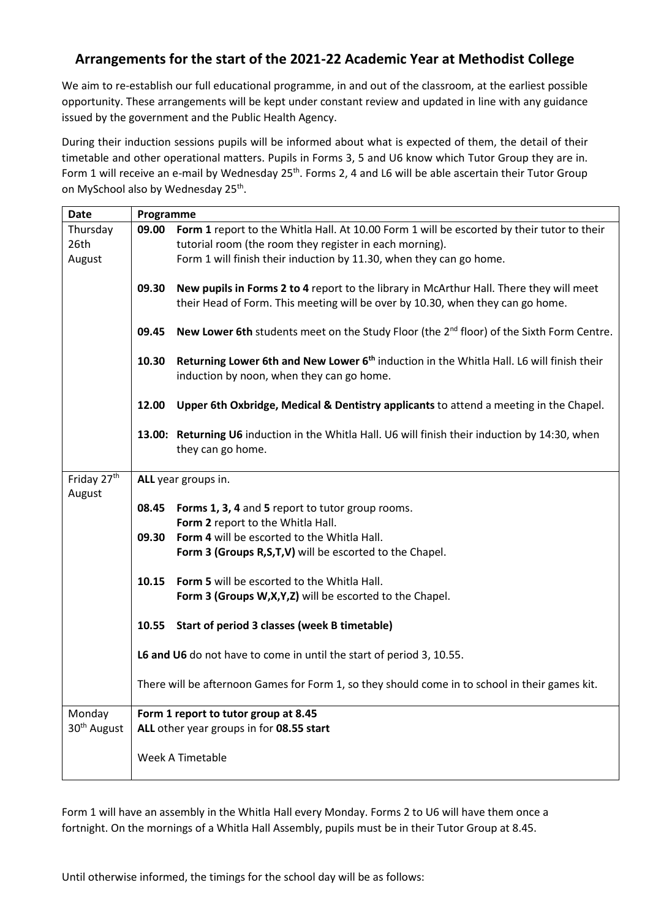## **Arrangements for the start of the 2021-22 Academic Year at Methodist College**

We aim to re-establish our full educational programme, in and out of the classroom, at the earliest possible opportunity. These arrangements will be kept under constant review and updated in line with any guidance issued by the government and the Public Health Agency.

During their induction sessions pupils will be informed about what is expected of them, the detail of their timetable and other operational matters. Pupils in Forms 3, 5 and U6 know which Tutor Group they are in. Form 1 will receive an e-mail by Wednesday 25<sup>th</sup>. Forms 2, 4 and L6 will be able ascertain their Tutor Group on MySchool also by Wednesday 25<sup>th</sup>.

| <b>Date</b>             | Programme           |                                                                                                                                                   |
|-------------------------|---------------------|---------------------------------------------------------------------------------------------------------------------------------------------------|
| Thursday                | 09.00               | Form 1 report to the Whitla Hall. At 10.00 Form 1 will be escorted by their tutor to their                                                        |
| 26th                    |                     | tutorial room (the room they register in each morning).                                                                                           |
| August                  |                     | Form 1 will finish their induction by 11.30, when they can go home.                                                                               |
|                         |                     |                                                                                                                                                   |
|                         | 09.30               | New pupils in Forms 2 to 4 report to the library in McArthur Hall. There they will meet                                                           |
|                         |                     | their Head of Form. This meeting will be over by 10.30, when they can go home.                                                                    |
|                         | 09.45               | <b>New Lower 6th</b> students meet on the Study Floor (the $2^{nd}$ floor) of the Sixth Form Centre.                                              |
|                         | 10.30               | Returning Lower 6th and New Lower 6 <sup>th</sup> induction in the Whitla Hall. L6 will finish their<br>induction by noon, when they can go home. |
|                         | 12.00               | Upper 6th Oxbridge, Medical & Dentistry applicants to attend a meeting in the Chapel.                                                             |
|                         |                     | 13.00: Returning U6 induction in the Whitla Hall. U6 will finish their induction by 14:30, when                                                   |
|                         | they can go home.   |                                                                                                                                                   |
| Friday 27th             | ALL year groups in. |                                                                                                                                                   |
| August                  |                     |                                                                                                                                                   |
|                         |                     | 08.45 Forms 1, 3, 4 and 5 report to tutor group rooms.                                                                                            |
|                         |                     | Form 2 report to the Whitla Hall.                                                                                                                 |
|                         | 09.30               | Form 4 will be escorted to the Whitla Hall.                                                                                                       |
|                         |                     | Form 3 (Groups R,S,T,V) will be escorted to the Chapel.                                                                                           |
|                         | 10.15               | Form 5 will be escorted to the Whitla Hall.                                                                                                       |
|                         |                     | Form 3 (Groups W,X,Y,Z) will be escorted to the Chapel.                                                                                           |
|                         |                     |                                                                                                                                                   |
|                         | 10.55               | Start of period 3 classes (week B timetable)                                                                                                      |
|                         |                     | L6 and U6 do not have to come in until the start of period 3, 10.55.                                                                              |
|                         |                     | There will be afternoon Games for Form 1, so they should come in to school in their games kit.                                                    |
|                         |                     |                                                                                                                                                   |
| Monday                  |                     | Form 1 report to tutor group at 8.45                                                                                                              |
| 30 <sup>th</sup> August |                     | ALL other year groups in for 08.55 start                                                                                                          |
|                         |                     |                                                                                                                                                   |
|                         | Week A Timetable    |                                                                                                                                                   |
|                         |                     |                                                                                                                                                   |

Form 1 will have an assembly in the Whitla Hall every Monday. Forms 2 to U6 will have them once a fortnight. On the mornings of a Whitla Hall Assembly, pupils must be in their Tutor Group at 8.45.

Until otherwise informed, the timings for the school day will be as follows: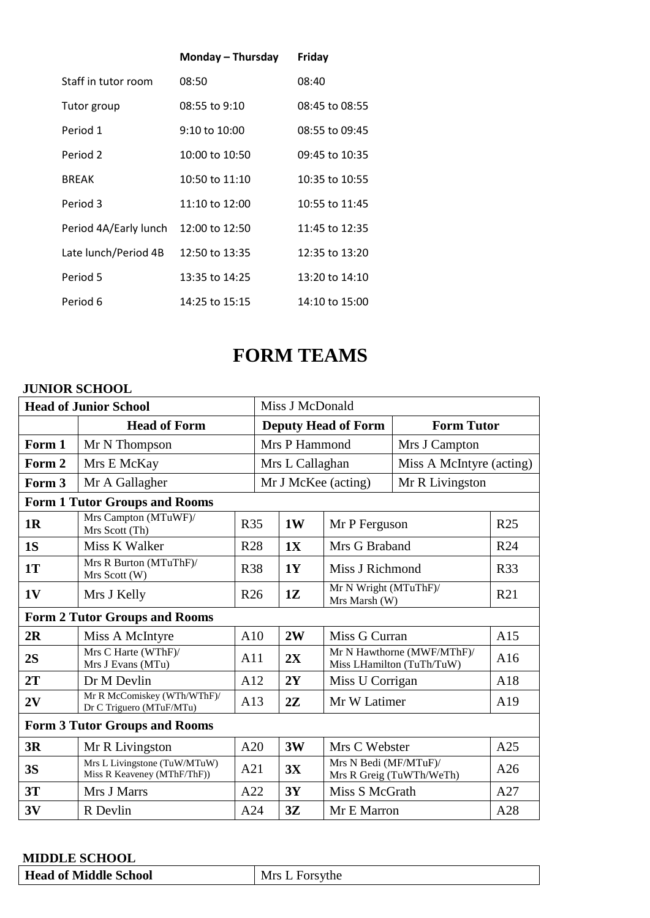|                       | Monday – Thursday | Friday         |
|-----------------------|-------------------|----------------|
| Staff in tutor room   | 08:50             | 08:40          |
| Tutor group           | $08:55$ to $9:10$ | 08:45 to 08:55 |
| Period 1              | $9:10$ to $10:00$ | 08:55 to 09:45 |
| Period 2              | 10:00 to 10:50    | 09:45 to 10:35 |
| <b>BREAK</b>          | 10:50 to 11:10    | 10:35 to 10:55 |
| Period 3              | 11:10 to 12:00    | 10:55 to 11:45 |
| Period 4A/Early lunch | 12:00 to 12:50    | 11:45 to 12:35 |
| Late lunch/Period 4B  | 12:50 to 13:35    | 12:35 to 13:20 |
| Period 5              | 13:35 to 14:25    | 13:20 to 14:10 |
| Period 6              | 14:25 to 15:15    | 14:10 to 15:00 |

# **FORM TEAMS**

#### **JUNIOR SCHOOL**

| <b>Head of Junior School</b>         |                                                                |                 | Miss J McDonald |                 |                                        |                                                         |                 |  |
|--------------------------------------|----------------------------------------------------------------|-----------------|-----------------|-----------------|----------------------------------------|---------------------------------------------------------|-----------------|--|
|                                      | <b>Head of Form</b>                                            |                 |                 |                 | <b>Deputy Head of Form</b>             | <b>Form Tutor</b>                                       |                 |  |
| Form 1                               | Mr N Thompson                                                  |                 |                 | Mrs P Hammond   |                                        | Mrs J Campton                                           |                 |  |
| Form 2                               | Mrs E McKay                                                    |                 |                 | Mrs L Callaghan |                                        | Miss A McIntyre (acting)                                |                 |  |
| Form 3                               | Mr A Gallagher                                                 |                 |                 |                 | Mr J McKee (acting)                    | Mr R Livingston                                         |                 |  |
|                                      | <b>Form 1 Tutor Groups and Rooms</b>                           |                 |                 |                 |                                        |                                                         |                 |  |
| 1 <sub>R</sub>                       | Mrs Campton (MTuWF)/<br>Mrs Scott (Th)                         | <b>R35</b>      | 1W              |                 | Mr P Ferguson                          |                                                         | R <sub>25</sub> |  |
| 1S                                   | Miss K Walker                                                  | <b>R28</b>      |                 | 1X              | Mrs G Braband                          |                                                         | R <sub>24</sub> |  |
| <b>1T</b>                            | Mrs R Burton (MTuThF)/<br>Mrs Scott (W)                        | <b>R38</b>      |                 | <b>1Y</b>       | Miss J Richmond                        |                                                         | <b>R33</b>      |  |
| 1V                                   | Mrs J Kelly                                                    | R <sub>26</sub> |                 | 1Z              | Mr N Wright (MTuThF)/<br>Mrs Marsh (W) |                                                         | R21             |  |
| <b>Form 2 Tutor Groups and Rooms</b> |                                                                |                 |                 |                 |                                        |                                                         |                 |  |
| 2R                                   | Miss A McIntyre                                                | A10             |                 | 2W              | Miss G Curran                          |                                                         | A15             |  |
| 2S                                   | Mrs C Harte (WThF)/<br>Mrs J Evans (MTu)                       | A11             |                 | 2X              |                                        | Mr N Hawthorne (MWF/MThF)/<br>Miss LHamilton (TuTh/TuW) | A16             |  |
| 2T                                   | Dr M Devlin                                                    | A12             |                 | 2Y              | Miss U Corrigan                        |                                                         | A18             |  |
| 2V                                   | Mr R McComiskey (WTh/WThF)/<br>A13<br>Dr C Triguero (MTuF/MTu) |                 |                 | 2Z              | Mr W Latimer                           |                                                         |                 |  |
| <b>Form 3 Tutor Groups and Rooms</b> |                                                                |                 |                 |                 |                                        |                                                         |                 |  |
| 3R                                   | Mr R Livingston                                                | A20             |                 | 3W              | Mrs C Webster                          |                                                         | A25             |  |
| <b>3S</b>                            | Mrs L Livingstone (TuW/MTuW)<br>Miss R Keaveney (MThF/ThF))    | A21             |                 | 3X              | Mrs N Bedi (MF/MTuF)/                  | Mrs R Greig (TuWTh/WeTh)                                | A26             |  |
| 3T                                   | Mrs J Marrs                                                    | A22             |                 | 3Y              | Miss S McGrath                         |                                                         | A27             |  |
| 3V                                   | A24<br>R Devlin                                                |                 |                 | 3Z              | Mr E Marron                            |                                                         | A28             |  |

# **MIDDLE SCHOOL**

| <b>Head of Middle School</b> | Mrs L Forsythe |
|------------------------------|----------------|
|                              |                |